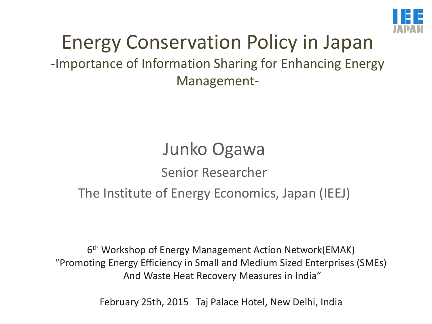

### Energy Conservation Policy in Japan -Importance of Information Sharing for Enhancing Energy Management-

# Junko Ogawa Senior Researcher The Institute of Energy Economics, Japan (IEEJ)

6 th Workshop of Energy Management Action Network(EMAK) "Promoting Energy Efficiency in Small and Medium Sized Enterprises (SMEs) And Waste Heat Recovery Measures in India"

February 25th, 2015 Taj Palace Hotel, New Delhi, India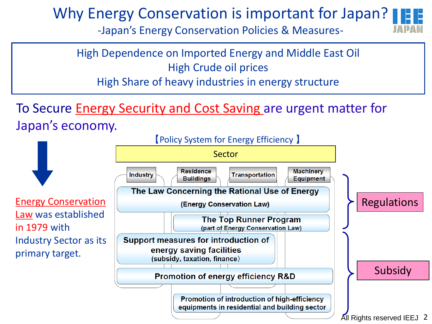### Why Energy Conservation is important for Japan?

-Japan's Energy Conservation Policies & Measures-



High Dependence on Imported Energy and Middle East Oil High Crude oil prices High Share of heavy industries in energy structure

To Secure Energy Security and Cost Saving are urgent matter for Japan's economy.

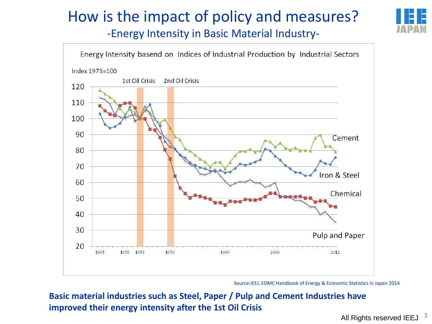# How is the impact of policy and measures?



-Energy Intensity in Basic Material Industry-



Source:IEEJ, EDMC Handbook of Energy & Economic Statistics in Japan 2014

**Basic material industries such as Steel, Paper / Pulp and Cement Industries have improved their energy intensity after the 1st Oil Crisis**

All Rights reserved IEEJ  $^{-3}$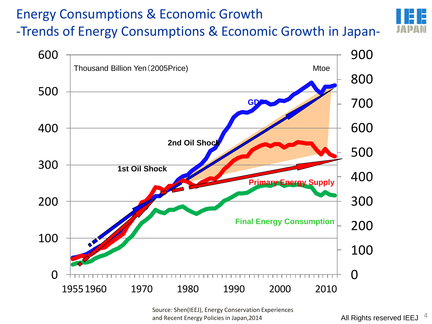### Energy Consumptions & Economic Growth -Trends of Energy Consumptions & Economic Growth in Japan-



Source: Shen(IEEJ), Energy Conservation Experiences and Recent Energy Policies in Japan, 2014 **4 All Rights reserved IEEJ**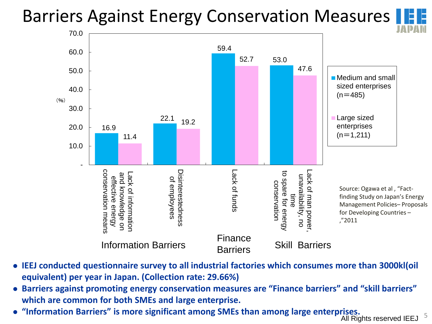# Barriers Against Energy Conservation Measures | E





- **IEEJ conducted questionnaire survey to all industrial factories which consumes more than 3000kl(oil equivalent) per year in Japan. (Collection rate: 29.66%)**
- **Barriers against promoting energy conservation measures are "Finance barriers" and "skill barriers" which are common for both SMEs and large enterprise.**
- **"Information Barriers" is more significant among SMEs than among large enterprises.**

 $\frac{1383}{100}$  All Rights reserved IEEJ  $\frac{5}{100}$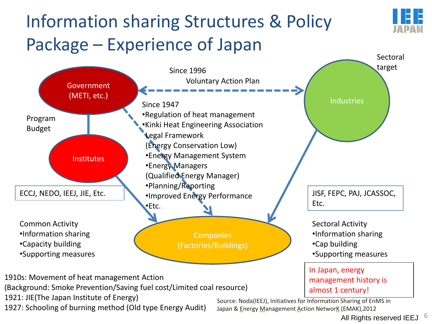# Information sharing Structures & Policy Package – Experience of Japan



1921: JIE(The Japan Institute of Energy)

1927: Schooling of burning method (Old type Energy Audit)

Source: Noda(IEEJ), Initiatives for Information Sharing of EnMS in Japan & Energy Management Action NetworK (EMAK),2012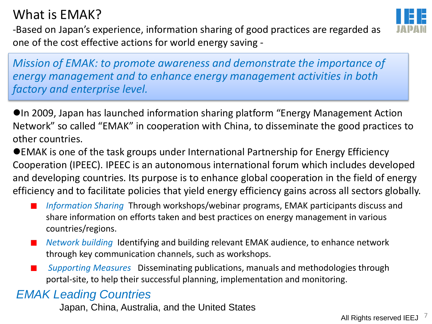### What is EMAK?



-Based on Japan's experience, information sharing of good practices are regarded as one of the cost effective actions for world energy saving -

*Mission of EMAK: to promote awareness and demonstrate the importance of energy management and to enhance energy management activities in both factory and enterprise level.*

In 2009, Japan has launched information sharing platform "Energy Management Action Network" so called "EMAK" in cooperation with China, to disseminate the good practices to other countries.

EMAK is one of the task groups under International Partnership for Energy Efficiency Cooperation (IPEEC). IPEEC is an autonomous international forum which includes developed and developing countries. Its purpose is to enhance global cooperation in the field of energy efficiency and to facilitate policies that yield energy efficiency gains across all sectors globally.

- *Information Sharing* Through workshops/webinar programs, EMAK participants discuss and share information on efforts taken and best practices on energy management in various countries/regions.
- *Network building* Identifying and building relevant EMAK audience, to enhance network  $\mathcal{L}_{\mathcal{A}}$ through key communication channels, such as workshops.
- *Supporting Measures* Disseminating publications, manuals and methodologies through **College** portal-site, to help their successful planning, implementation and monitoring.

#### *EMAK Leading Countries*

Japan, China, Australia, and the United States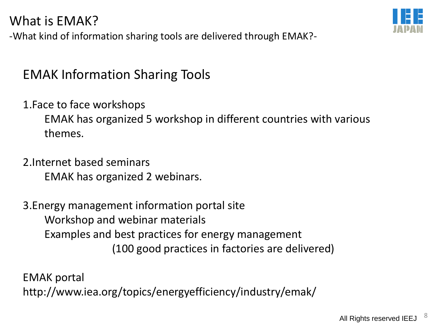#### What is EMAK?

-What kind of information sharing tools are delivered through EMAK?-

### EMAK Information Sharing Tools

1.Face to face workshops

EMAK has organized 5 workshop in different countries with various themes.

2.Internet based seminars EMAK has organized 2 webinars.

3.Energy management information portal site Workshop and webinar materials Examples and best practices for energy management (100 good practices in factories are delivered)

EMAK portal http://www.iea.org/topics/energyefficiency/industry/emak/